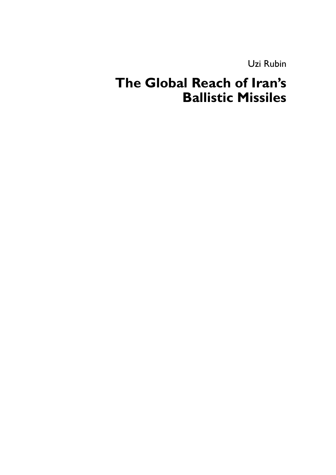Uzi Rubin

# **The Global Reach of Iran's Ballistic Missiles**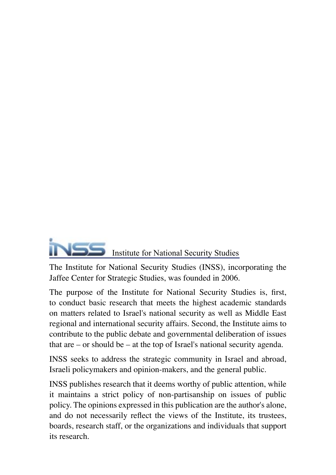

The Institute for National Security Studies (INSS), incorporating the Jaffee Center for Strategic Studies, was founded in 2006.

The purpose of the Institute for National Security Studies is, first, to conduct basic research that meets the highest academic standards on matters related to Israel's national security as well as Middle East regional and international security affairs. Second, the Institute aims to contribute to the public debate and governmental deliberation of issues that are – or should be – at the top of Israel's national security agenda.

INSS seeks to address the strategic community in Israel and abroad, Israeli policymakers and opinion-makers, and the general public.

INSS publishes research that it deems worthy of public attention, while it maintains a strict policy of non-partisanship on issues of public policy. The opinions expressed in this publication are the author's alone, and do not necessarily reflect the views of the Institute, its trustees, boards, research staff, or the organizations and individuals that support its research.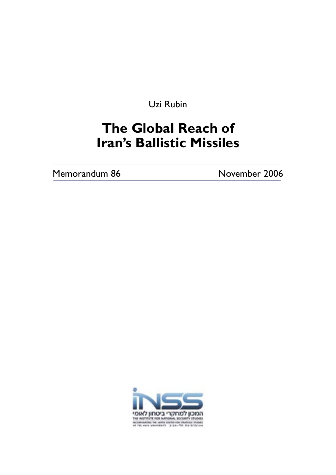Uzi Rubin

# **The Global Reach of Iran's Ballistic Missiles**

Memorandum 86 November 2006

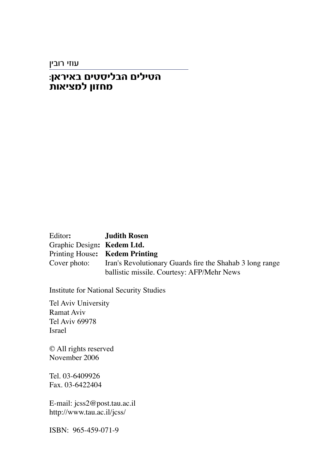עוזי רובין

### **∫Ô‡¯È‡· ÌÈËÒÈÏ·‰ ÌÈÏÈˉ ˙‡ȈÓÏ ÔÂÊÁÓ**

Editor**: Judith Rosen** Graphic Design**: Kedem Ltd.** Printing House**: Kedem Printing** Iran's Revolutionary Guards fire the Shahab 3 long range ballistic missile. Courtesy: AFP/Mehr News

Institute for National Security Studies

Tel Aviv University Ramat Aviv Tel Aviv 69978 Israel

© All rights reserved November 2006

Tel. 03-6409926 Fax. 03-6422404

E-mail: jcss2@post.tau.ac.il http://www.tau.ac.il/jcss/

ISBN: 965-459-071-9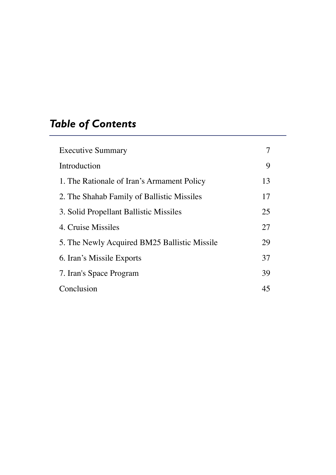# *Table of Contents*

| <b>Executive Summary</b>                     |    |
|----------------------------------------------|----|
| Introduction                                 | 9  |
| 1. The Rationale of Iran's Armament Policy   | 13 |
| 2. The Shahab Family of Ballistic Missiles   | 17 |
| 3. Solid Propellant Ballistic Missiles       | 25 |
| 4. Cruise Missiles                           | 27 |
| 5. The Newly Acquired BM25 Ballistic Missile | 29 |
| 6. Iran's Missile Exports                    | 37 |
| 7. Iran's Space Program                      | 39 |
| Conclusion                                   | 45 |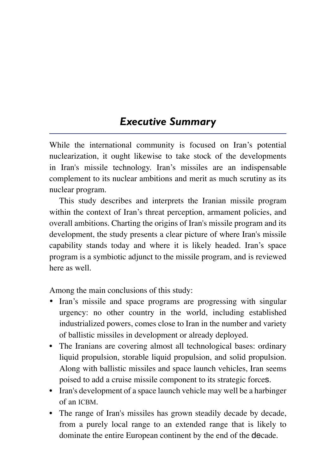## *Executive Summary*

While the international community is focused on Iran's potential nuclearization, it ought likewise to take stock of the developments in Iran's missile technology. Iran's missiles are an indispensable complement to its nuclear ambitions and merit as much scrutiny as its nuclear program.

This study describes and interprets the Iranian missile program within the context of Iran's threat perception, armament policies, and overall ambitions. Charting the origins of Iran's missile program and its development, the study presents a clear picture of where Iran's missile capability stands today and where it is likely headed. Iran's space program is a symbiotic adjunct to the missile program, and is reviewed here as well.

Among the main conclusions of this study:

- Iran's missile and space programs are progressing with singular urgency: no other country in the world, including established industrialized powers, comes close to Iran in the number and variety of ballistic missiles in development or already deployed.
- The Iranians are covering almost all technological bases: ordinary liquid propulsion, storable liquid propulsion, and solid propulsion. Along with ballistic missiles and space launch vehicles, Iran seems poised to add a cruise missile component to its strategic forces.
- Iran's development of a space launch vehicle may well be a harbinger of an ICBM.
- The range of Iran's missiles has grown steadily decade by decade, from a purely local range to an extended range that is likely to dominate the entire European continent by the end of the decade.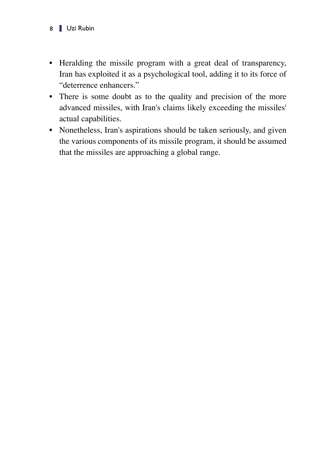- Heralding the missile program with a great deal of transparency, Iran has exploited it as a psychological tool, adding it to its force of "deterrence enhancers."
- There is some doubt as to the quality and precision of the more advanced missiles, with Iran's claims likely exceeding the missiles' actual capabilities.
- Nonetheless, Iran's aspirations should be taken seriously, and given the various components of its missile program, it should be assumed that the missiles are approaching a global range.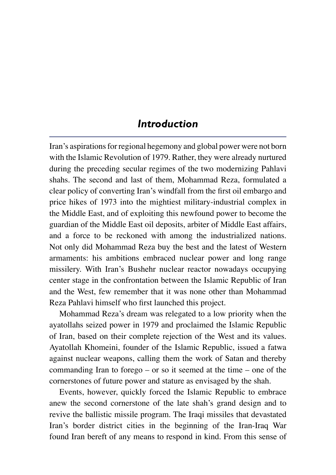## *Introduction*

Iran's aspirations for regional hegemony and global power were not born with the Islamic Revolution of 1979. Rather, they were already nurtured during the preceding secular regimes of the two modernizing Pahlavi shahs. The second and last of them, Mohammad Reza, formulated a clear policy of converting Iran's windfall from the first oil embargo and price hikes of 1973 into the mightiest military-industrial complex in the Middle East, and of exploiting this newfound power to become the guardian of the Middle East oil deposits, arbiter of Middle East affairs, and a force to be reckoned with among the industrialized nations. Not only did Mohammad Reza buy the best and the latest of Western armaments: his ambitions embraced nuclear power and long range missilery. With Iran's Bushehr nuclear reactor nowadays occupying center stage in the confrontation between the Islamic Republic of Iran and the West, few remember that it was none other than Mohammad Reza Pahlavi himself who first launched this project.

Mohammad Reza's dream was relegated to a low priority when the ayatollahs seized power in 1979 and proclaimed the Islamic Republic of Iran, based on their complete rejection of the West and its values. Ayatollah Khomeini, founder of the Islamic Republic, issued a fatwa against nuclear weapons, calling them the work of Satan and thereby commanding Iran to forego – or so it seemed at the time – one of the cornerstones of future power and stature as envisaged by the shah.

Events, however, quickly forced the Islamic Republic to embrace anew the second cornerstone of the late shah's grand design and to revive the ballistic missile program. The Iraqi missiles that devastated Iran's border district cities in the beginning of the Iran-Iraq War found Iran bereft of any means to respond in kind. From this sense of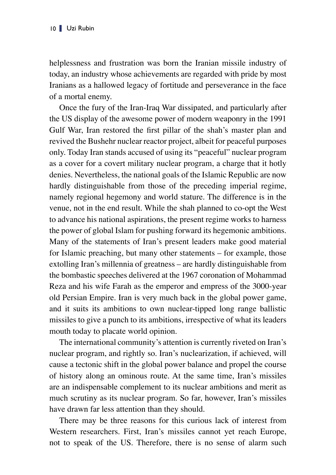helplessness and frustration was born the Iranian missile industry of today, an industry whose achievements are regarded with pride by most Iranians as a hallowed legacy of fortitude and perseverance in the face of a mortal enemy.

Once the fury of the Iran-Iraq War dissipated, and particularly after the US display of the awesome power of modern weaponry in the 1991 Gulf War, Iran restored the first pillar of the shah's master plan and revived the Bushehr nuclear reactor project, albeit for peaceful purposes only. Today Iran stands accused of using its "peaceful" nuclear program as a cover for a covert military nuclear program, a charge that it hotly denies. Nevertheless, the national goals of the Islamic Republic are now hardly distinguishable from those of the preceding imperial regime, namely regional hegemony and world stature. The difference is in the venue, not in the end result. While the shah planned to co-opt the West to advance his national aspirations, the present regime works to harness the power of global Islam for pushing forward its hegemonic ambitions. Many of the statements of Iran's present leaders make good material for Islamic preaching, but many other statements – for example, those extolling Iran's millennia of greatness – are hardly distinguishable from the bombastic speeches delivered at the 1967 coronation of Mohammad Reza and his wife Farah as the emperor and empress of the 3000-year old Persian Empire. Iran is very much back in the global power game, and it suits its ambitions to own nuclear-tipped long range ballistic missiles to give a punch to its ambitions, irrespective of what its leaders mouth today to placate world opinion.

The international community's attention is currently riveted on Iran's nuclear program, and rightly so. Iran's nuclearization, if achieved, will cause a tectonic shift in the global power balance and propel the course of history along an ominous route. At the same time, Iran's missiles are an indispensable complement to its nuclear ambitions and merit as much scrutiny as its nuclear program. So far, however, Iran's missiles have drawn far less attention than they should.

There may be three reasons for this curious lack of interest from Western researchers. First, Iran's missiles cannot yet reach Europe, not to speak of the US. Therefore, there is no sense of alarm such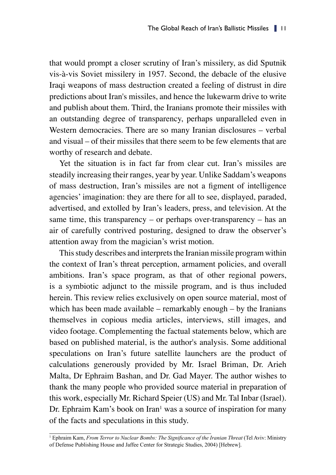that would prompt a closer scrutiny of Iran's missilery, as did Sputnik vis-à-vis Soviet missilery in 1957. Second, the debacle of the elusive Iraqi weapons of mass destruction created a feeling of distrust in dire predictions about Iran's missiles, and hence the lukewarm drive to write and publish about them. Third, the Iranians promote their missiles with an outstanding degree of transparency, perhaps unparalleled even in Western democracies. There are so many Iranian disclosures – verbal and visual – of their missiles that there seem to be few elements that are worthy of research and debate.

Yet the situation is in fact far from clear cut. Iran's missiles are steadily increasing their ranges, year by year. Unlike Saddam's weapons of mass destruction, Iran's missiles are not a figment of intelligence agencies' imagination: they are there for all to see, displayed, paraded, advertised, and extolled by Iran's leaders, press, and television. At the same time, this transparency – or perhaps over-transparency – has an air of carefully contrived posturing, designed to draw the observer's attention away from the magician's wrist motion.

This study describes and interprets the Iranian missile program within the context of Iran's threat perception, armament policies, and overall ambitions. Iran's space program, as that of other regional powers, is a symbiotic adjunct to the missile program, and is thus included herein. This review relies exclusively on open source material, most of which has been made available – remarkably enough – by the Iranians themselves in copious media articles, interviews, still images, and video footage. Complementing the factual statements below, which are based on published material, is the author's analysis. Some additional speculations on Iran's future satellite launchers are the product of calculations generously provided by Mr. Israel Briman, Dr. Arieh Malta, Dr Ephraim Bashan, and Dr. Gad Mayer. The author wishes to thank the many people who provided source material in preparation of this work, especially Mr. Richard Speier (US) and Mr. Tal Inbar (Israel). Dr. Ephraim Kam's book on Iran<sup>1</sup> was a source of inspiration for many of the facts and speculations in this study.

<sup>1</sup> Ephraim Kam, *From Terror to Nuclear Bombs: The Significance of the Iranian Threat* (Tel Aviv: Ministry of Defense Publishing House and Jaffee Center for Strategic Studies, 2004) [Hebrew].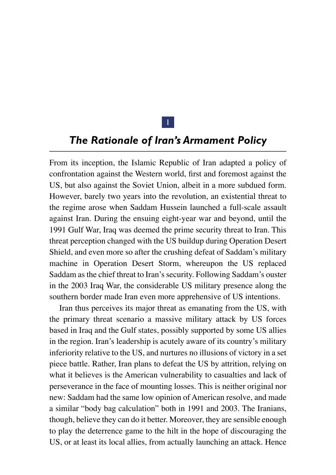

## *The Rationale of Iran's Armament Policy*

From its inception, the Islamic Republic of Iran adapted a policy of confrontation against the Western world, first and foremost against the US, but also against the Soviet Union, albeit in a more subdued form. However, barely two years into the revolution, an existential threat to the regime arose when Saddam Hussein launched a full-scale assault against Iran. During the ensuing eight-year war and beyond, until the 1991 Gulf War, Iraq was deemed the prime security threat to Iran. This threat perception changed with the US buildup during Operation Desert Shield, and even more so after the crushing defeat of Saddam's military machine in Operation Desert Storm, whereupon the US replaced Saddam as the chief threat to Iran's security. Following Saddam's ouster in the 2003 Iraq War, the considerable US military presence along the southern border made Iran even more apprehensive of US intentions.

Iran thus perceives its major threat as emanating from the US, with the primary threat scenario a massive military attack by US forces based in Iraq and the Gulf states, possibly supported by some US allies in the region. Iran's leadership is acutely aware of its country's military inferiority relative to the US, and nurtures no illusions of victory in a set piece battle. Rather, Iran plans to defeat the US by attrition, relying on what it believes is the American vulnerability to casualties and lack of perseverance in the face of mounting losses. This is neither original nor new: Saddam had the same low opinion of American resolve, and made a similar "body bag calculation" both in 1991 and 2003. The Iranians, though, believe they can do it better. Moreover, they are sensible enough to play the deterrence game to the hilt in the hope of discouraging the US, or at least its local allies, from actually launching an attack. Hence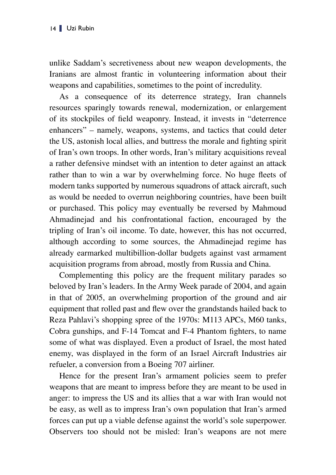unlike Saddam's secretiveness about new weapon developments, the Iranians are almost frantic in volunteering information about their weapons and capabilities, sometimes to the point of incredulity.

As a consequence of its deterrence strategy, Iran channels resources sparingly towards renewal, modernization, or enlargement of its stockpiles of field weaponry. Instead, it invests in "deterrence enhancers" – namely, weapons, systems, and tactics that could deter the US, astonish local allies, and buttress the morale and fighting spirit of Iran's own troops. In other words, Iran's military acquisitions reveal a rather defensive mindset with an intention to deter against an attack rather than to win a war by overwhelming force. No huge fleets of modern tanks supported by numerous squadrons of attack aircraft, such as would be needed to overrun neighboring countries, have been built or purchased. This policy may eventually be reversed by Mahmoud Ahmadinejad and his confrontational faction, encouraged by the tripling of Iran's oil income. To date, however, this has not occurred, although according to some sources, the Ahmadinejad regime has already earmarked multibillion-dollar budgets against vast armament acquisition programs from abroad, mostly from Russia and China.

Complementing this policy are the frequent military parades so beloved by Iran's leaders. In the Army Week parade of 2004, and again in that of 2005, an overwhelming proportion of the ground and air equipment that rolled past and flew over the grandstands hailed back to Reza Pahlavi's shopping spree of the 1970s: M113 APCs, M60 tanks, Cobra gunships, and F-14 Tomcat and F-4 Phantom fighters, to name some of what was displayed. Even a product of Israel, the most hated enemy, was displayed in the form of an Israel Aircraft Industries air refueler, a conversion from a Boeing 707 airliner.

Hence for the present Iran's armament policies seem to prefer weapons that are meant to impress before they are meant to be used in anger: to impress the US and its allies that a war with Iran would not be easy, as well as to impress Iran's own population that Iran's armed forces can put up a viable defense against the world's sole superpower. Observers too should not be misled: Iran's weapons are not mere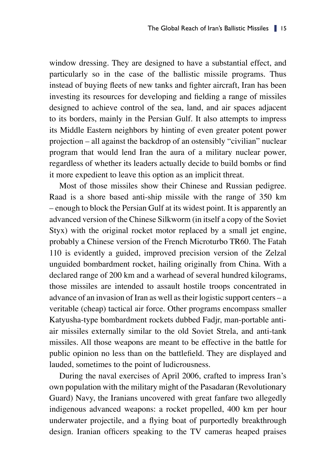window dressing. They are designed to have a substantial effect, and particularly so in the case of the ballistic missile programs. Thus instead of buying fleets of new tanks and fighter aircraft, Iran has been investing its resources for developing and fielding a range of missiles designed to achieve control of the sea, land, and air spaces adjacent to its borders, mainly in the Persian Gulf. It also attempts to impress its Middle Eastern neighbors by hinting of even greater potent power projection – all against the backdrop of an ostensibly "civilian" nuclear program that would lend Iran the aura of a military nuclear power, regardless of whether its leaders actually decide to build bombs or find it more expedient to leave this option as an implicit threat.

Most of those missiles show their Chinese and Russian pedigree. Raad is a shore based anti-ship missile with the range of 350 km – enough to block the Persian Gulf at its widest point. It is apparently an advanced version of the Chinese Silkworm (in itself a copy of the Soviet Styx) with the original rocket motor replaced by a small jet engine, probably a Chinese version of the French Microturbo TR60. The Fatah 110 is evidently a guided, improved precision version of the Zelzal unguided bombardment rocket, hailing originally from China. With a declared range of 200 km and a warhead of several hundred kilograms, those missiles are intended to assault hostile troops concentrated in advance of an invasion of Iran as well as their logistic support centers – a veritable (cheap) tactical air force. Other programs encompass smaller Katyusha-type bombardment rockets dubbed Fadjr, man-portable antiair missiles externally similar to the old Soviet Strela, and anti-tank missiles. All those weapons are meant to be effective in the battle for public opinion no less than on the battlefield. They are displayed and lauded, sometimes to the point of ludicrousness.

During the naval exercises of April 2006, crafted to impress Iran's own population with the military might of the Pasadaran (Revolutionary Guard) Navy, the Iranians uncovered with great fanfare two allegedly indigenous advanced weapons: a rocket propelled, 400 km per hour underwater projectile, and a flying boat of purportedly breakthrough design. Iranian officers speaking to the TV cameras heaped praises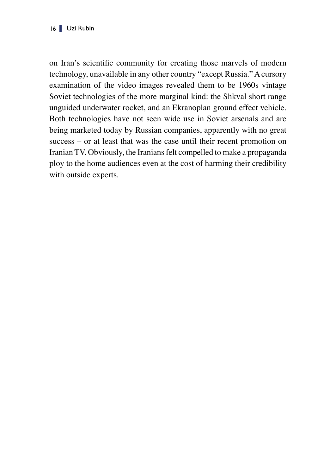on Iran's scientific community for creating those marvels of modern technology, unavailable in any other country "except Russia." A cursory examination of the video images revealed them to be 1960s vintage Soviet technologies of the more marginal kind: the Shkval short range unguided underwater rocket, and an Ekranoplan ground effect vehicle. Both technologies have not seen wide use in Soviet arsenals and are being marketed today by Russian companies, apparently with no great success – or at least that was the case until their recent promotion on Iranian TV. Obviously, the Iranians felt compelled to make a propaganda ploy to the home audiences even at the cost of harming their credibility with outside experts.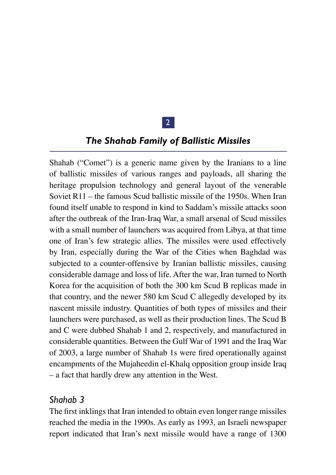### 2

### *The Shahab Family of Ballistic Missiles*

Shahab ("Comet") is a generic name given by the Iranians to a line of ballistic missiles of various ranges and payloads, all sharing the heritage propulsion technology and general layout of the venerable Soviet R11 – the famous Scud ballistic missile of the 1950s. When Iran found itself unable to respond in kind to Saddam's missile attacks soon after the outbreak of the Iran-Iraq War, a small arsenal of Scud missiles with a small number of launchers was acquired from Libya, at that time one of Iran's few strategic allies. The missiles were used effectively by Iran, especially during the War of the Cities when Baghdad was subjected to a counter-offensive by Iranian ballistic missiles, causing considerable damage and loss of life. After the war, Iran turned to North Korea for the acquisition of both the 300 km Scud B replicas made in that country, and the newer 580 km Scud C allegedly developed by its nascent missile industry. Quantities of both types of missiles and their launchers were purchased, as well as their production lines. The Scud B and C were dubbed Shahab 1 and 2, respectively, and manufactured in considerable quantities. Between the Gulf War of 1991 and the Iraq War of 2003, a large number of Shahab 1s were fired operationally against encampments of the Mujaheedin el-Khalq opposition group inside Iraq – a fact that hardly drew any attention in the West.

### *Shahab 3*

The first inklings that Iran intended to obtain even longer range missiles reached the media in the 1990s. As early as 1993, an Israeli newspaper report indicated that Iran's next missile would have a range of 1300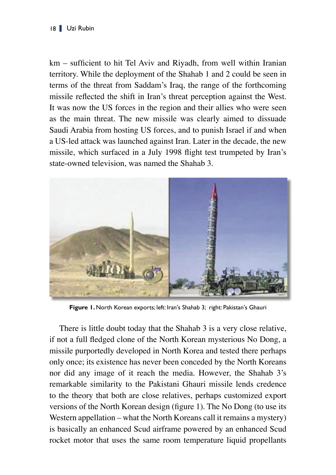km – sufficient to hit Tel Aviv and Riyadh, from well within Iranian territory. While the deployment of the Shahab 1 and 2 could be seen in terms of the threat from Saddam's Iraq, the range of the forthcoming missile reflected the shift in Iran's threat perception against the West. It was now the US forces in the region and their allies who were seen as the main threat. The new missile was clearly aimed to dissuade Saudi Arabia from hosting US forces, and to punish Israel if and when a US-led attack was launched against Iran. Later in the decade, the new missile, which surfaced in a July 1998 flight test trumpeted by Iran's state-owned television, was named the Shahab 3.



**Figure 1.** North Korean exports; left: Iran's Shahab 3; right: Pakistan's Ghauri

There is little doubt today that the Shahab 3 is a very close relative, if not a full fledged clone of the North Korean mysterious No Dong, a missile purportedly developed in North Korea and tested there perhaps only once; its existence has never been conceded by the North Koreans nor did any image of it reach the media. However, the Shahab 3's remarkable similarity to the Pakistani Ghauri missile lends credence to the theory that both are close relatives, perhaps customized export versions of the North Korean design (figure 1). The No Dong (to use its Western appellation – what the North Koreans call it remains a mystery) is basically an enhanced Scud airframe powered by an enhanced Scud rocket motor that uses the same room temperature liquid propellants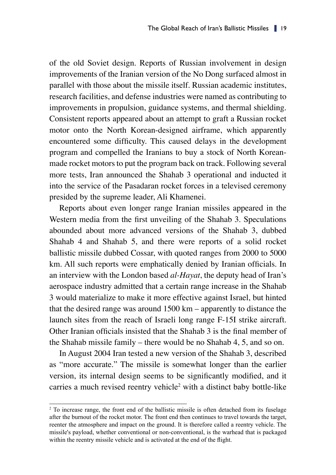of the old Soviet design. Reports of Russian involvement in design improvements of the Iranian version of the No Dong surfaced almost in parallel with those about the missile itself. Russian academic institutes, research facilities, and defense industries were named as contributing to improvements in propulsion, guidance systems, and thermal shielding. Consistent reports appeared about an attempt to graft a Russian rocket motor onto the North Korean-designed airframe, which apparently encountered some difficulty. This caused delays in the development program and compelled the Iranians to buy a stock of North Koreanmade rocket motors to put the program back on track. Following several more tests, Iran announced the Shahab 3 operational and inducted it into the service of the Pasadaran rocket forces in a televised ceremony presided by the supreme leader, Ali Khamenei.

Reports about even longer range Iranian missiles appeared in the Western media from the first unveiling of the Shahab 3. Speculations abounded about more advanced versions of the Shahab 3, dubbed Shahab 4 and Shahab 5, and there were reports of a solid rocket ballistic missile dubbed Cossar, with quoted ranges from 2000 to 5000 km. All such reports were emphatically denied by Iranian officials. In an interview with the London based *al-Hayat*, the deputy head of Iran's aerospace industry admitted that a certain range increase in the Shahab 3 would materialize to make it more effective against Israel, but hinted that the desired range was around 1500 km – apparently to distance the launch sites from the reach of Israeli long range F-15I strike aircraft. Other Iranian officials insisted that the Shahab 3 is the final member of the Shahab missile family – there would be no Shahab 4, 5, and so on.

In August 2004 Iran tested a new version of the Shahab 3, described as "more accurate." The missile is somewhat longer than the earlier version, its internal design seems to be significantly modified, and it carries a much revised reentry vehicle<sup>2</sup> with a distinct baby bottle-like

<sup>&</sup>lt;sup>2</sup> To increase range, the front end of the ballistic missile is often detached from its fuselage after the burnout of the rocket motor. The front end then continues to travel towards the target, reenter the atmosphere and impact on the ground. It is therefore called a reentry vehicle. The missile's payload, whether conventional or non-conventional, is the warhead that is packaged within the reentry missile vehicle and is activated at the end of the flight.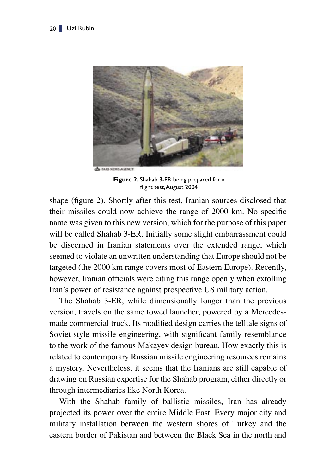

**Figure 2.** Shahab 3-ER being prepared for a flight test,August 2004

shape (figure 2). Shortly after this test, Iranian sources disclosed that their missiles could now achieve the range of 2000 km. No specific name was given to this new version, which for the purpose of this paper will be called Shahab 3-ER. Initially some slight embarrassment could be discerned in Iranian statements over the extended range, which seemed to violate an unwritten understanding that Europe should not be targeted (the 2000 km range covers most of Eastern Europe). Recently, however, Iranian officials were citing this range openly when extolling Iran's power of resistance against prospective US military action.

The Shahab 3-ER, while dimensionally longer than the previous version, travels on the same towed launcher, powered by a Mercedesmade commercial truck. Its modified design carries the telltale signs of Soviet-style missile engineering, with significant family resemblance to the work of the famous Makayev design bureau. How exactly this is related to contemporary Russian missile engineering resources remains a mystery. Nevertheless, it seems that the Iranians are still capable of drawing on Russian expertise for the Shahab program, either directly or through intermediaries like North Korea.

With the Shahab family of ballistic missiles, Iran has already projected its power over the entire Middle East. Every major city and military installation between the western shores of Turkey and the eastern border of Pakistan and between the Black Sea in the north and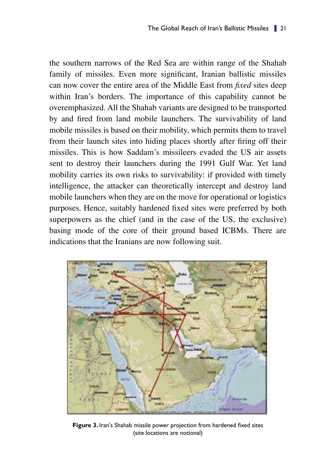the southern narrows of the Red Sea are within range of the Shahab family of missiles. Even more significant, Iranian ballistic missiles can now cover the entire area of the Middle East from *fixed* sites deep within Iran's borders. The importance of this capability cannot be overemphasized. All the Shahab variants are designed to be transported by and fired from land mobile launchers. The survivability of land mobile missiles is based on their mobility, which permits them to travel from their launch sites into hiding places shortly after firing off their missiles. This is how Saddam's missileers evaded the US air assets sent to destroy their launchers during the 1991 Gulf War. Yet land mobility carries its own risks to survivability: if provided with timely intelligence, the attacker can theoretically intercept and destroy land mobile launchers when they are on the move for operational or logistics purposes. Hence, suitably hardened fixed sites were preferred by both superpowers as the chief (and in the case of the US, the exclusive) basing mode of the core of their ground based ICBMs. There are indications that the Iranians are now following suit.



**Figure 3.** Iran's Shahab missile power projection from hardened fixed sites (site locations are notional)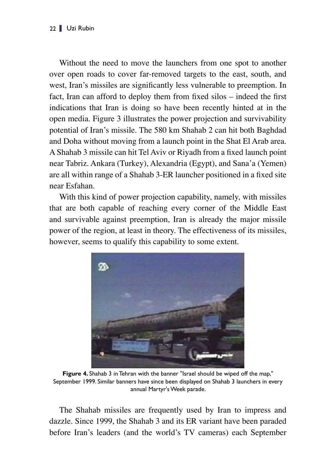Without the need to move the launchers from one spot to another over open roads to cover far-removed targets to the east, south, and west, Iran's missiles are significantly less vulnerable to preemption. In fact, Iran can afford to deploy them from fixed silos – indeed the first indications that Iran is doing so have been recently hinted at in the open media. Figure 3 illustrates the power projection and survivability potential of Iran's missile. The 580 km Shahab 2 can hit both Baghdad and Doha without moving from a launch point in the Shat El Arab area. A Shahab 3 missile can hit Tel Aviv or Riyadh from a fixed launch point near Tabriz. Ankara (Turkey), Alexandria (Egypt), and Sana'a (Yemen) are all within range of a Shahab 3-ER launcher positioned in a fixed site near Esfahan.

With this kind of power projection capability, namely, with missiles that are both capable of reaching every corner of the Middle East and survivable against preemption, Iran is already the major missile power of the region, at least in theory. The effectiveness of its missiles, however, seems to qualify this capability to some extent.



**Figure 4.** Shahab 3 in Tehran with the banner "Israel should be wiped off the map," September 1999. Similar banners have since been displayed on Shahab 3 launchers in every annual Martyr's Week parade.

The Shahab missiles are frequently used by Iran to impress and dazzle. Since 1999, the Shahab 3 and its ER variant have been paraded before Iran's leaders (and the world's TV cameras) each September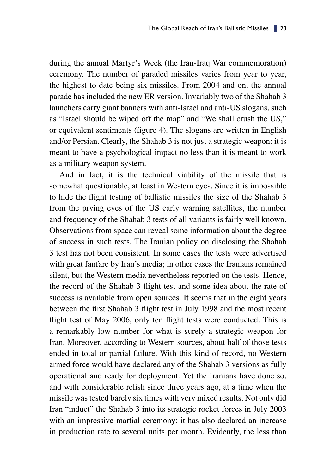during the annual Martyr's Week (the Iran-Iraq War commemoration) ceremony. The number of paraded missiles varies from year to year, the highest to date being six missiles. From 2004 and on, the annual parade has included the new ER version. Invariably two of the Shahab 3 launchers carry giant banners with anti-Israel and anti-US slogans, such as "Israel should be wiped off the map" and "We shall crush the US," or equivalent sentiments (figure 4). The slogans are written in English and/or Persian. Clearly, the Shahab 3 is not just a strategic weapon: it is meant to have a psychological impact no less than it is meant to work as a military weapon system.

And in fact, it is the technical viability of the missile that is somewhat questionable, at least in Western eyes. Since it is impossible to hide the flight testing of ballistic missiles the size of the Shahab 3 from the prying eyes of the US early warning satellites, the number and frequency of the Shahab 3 tests of all variants is fairly well known. Observations from space can reveal some information about the degree of success in such tests. The Iranian policy on disclosing the Shahab 3 test has not been consistent. In some cases the tests were advertised with great fanfare by Iran's media; in other cases the Iranians remained silent, but the Western media nevertheless reported on the tests. Hence, the record of the Shahab 3 flight test and some idea about the rate of success is available from open sources. It seems that in the eight years between the first Shahab 3 flight test in July 1998 and the most recent flight test of May 2006, only ten flight tests were conducted. This is a remarkably low number for what is surely a strategic weapon for Iran. Moreover, according to Western sources, about half of those tests ended in total or partial failure. With this kind of record, no Western armed force would have declared any of the Shahab 3 versions as fully operational and ready for deployment. Yet the Iranians have done so, and with considerable relish since three years ago, at a time when the missile was tested barely six times with very mixed results. Not only did Iran "induct" the Shahab 3 into its strategic rocket forces in July 2003 with an impressive martial ceremony; it has also declared an increase in production rate to several units per month. Evidently, the less than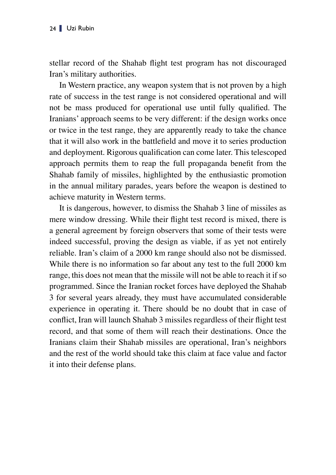stellar record of the Shahab flight test program has not discouraged Iran's military authorities.

In Western practice, any weapon system that is not proven by a high rate of success in the test range is not considered operational and will not be mass produced for operational use until fully qualified. The Iranians' approach seems to be very different: if the design works once or twice in the test range, they are apparently ready to take the chance that it will also work in the battlefield and move it to series production and deployment. Rigorous qualification can come later. This telescoped approach permits them to reap the full propaganda benefit from the Shahab family of missiles, highlighted by the enthusiastic promotion in the annual military parades, years before the weapon is destined to achieve maturity in Western terms.

It is dangerous, however, to dismiss the Shahab 3 line of missiles as mere window dressing. While their flight test record is mixed, there is a general agreement by foreign observers that some of their tests were indeed successful, proving the design as viable, if as yet not entirely reliable. Iran's claim of a 2000 km range should also not be dismissed. While there is no information so far about any test to the full 2000 km range, this does not mean that the missile will not be able to reach it if so programmed. Since the Iranian rocket forces have deployed the Shahab 3 for several years already, they must have accumulated considerable experience in operating it. There should be no doubt that in case of conflict, Iran will launch Shahab 3 missiles regardless of their flight test record, and that some of them will reach their destinations. Once the Iranians claim their Shahab missiles are operational, Iran's neighbors and the rest of the world should take this claim at face value and factor it into their defense plans.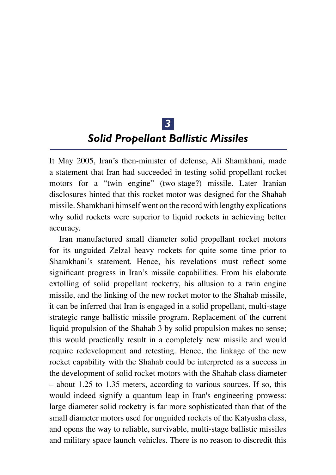## *3 Solid Propellant Ballistic Missiles*

It May 2005, Iran's then-minister of defense, Ali Shamkhani, made a statement that Iran had succeeded in testing solid propellant rocket motors for a "twin engine" (two-stage?) missile. Later Iranian disclosures hinted that this rocket motor was designed for the Shahab missile. Shamkhani himself went on the record with lengthy explications why solid rockets were superior to liquid rockets in achieving better accuracy.

Iran manufactured small diameter solid propellant rocket motors for its unguided Zelzal heavy rockets for quite some time prior to Shamkhani's statement. Hence, his revelations must reflect some significant progress in Iran's missile capabilities. From his elaborate extolling of solid propellant rocketry, his allusion to a twin engine missile, and the linking of the new rocket motor to the Shahab missile, it can be inferred that Iran is engaged in a solid propellant, multi-stage strategic range ballistic missile program. Replacement of the current liquid propulsion of the Shahab 3 by solid propulsion makes no sense; this would practically result in a completely new missile and would require redevelopment and retesting. Hence, the linkage of the new rocket capability with the Shahab could be interpreted as a success in the development of solid rocket motors with the Shahab class diameter – about 1.25 to 1.35 meters, according to various sources. If so, this would indeed signify a quantum leap in Iran's engineering prowess: large diameter solid rocketry is far more sophisticated than that of the small diameter motors used for unguided rockets of the Katyusha class, and opens the way to reliable, survivable, multi-stage ballistic missiles and military space launch vehicles. There is no reason to discredit this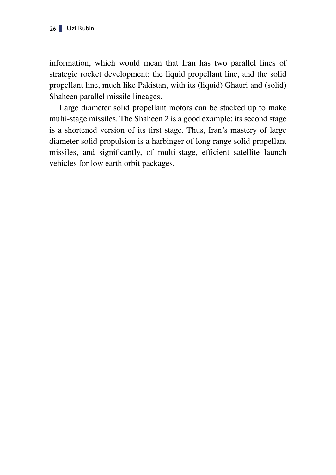information, which would mean that Iran has two parallel lines of strategic rocket development: the liquid propellant line, and the solid propellant line, much like Pakistan, with its (liquid) Ghauri and (solid) Shaheen parallel missile lineages.

Large diameter solid propellant motors can be stacked up to make multi-stage missiles. The Shaheen 2 is a good example: its second stage is a shortened version of its first stage. Thus, Iran's mastery of large diameter solid propulsion is a harbinger of long range solid propellant missiles, and significantly, of multi-stage, efficient satellite launch vehicles for low earth orbit packages.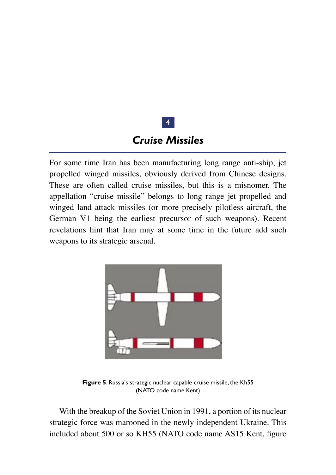## *Cruise Missiles*

4

For some time Iran has been manufacturing long range anti-ship, jet propelled winged missiles, obviously derived from Chinese designs. These are often called cruise missiles, but this is a misnomer. The appellation "cruise missile" belongs to long range jet propelled and winged land attack missiles (or more precisely pilotless aircraft, the German V1 being the earliest precursor of such weapons). Recent revelations hint that Iran may at some time in the future add such weapons to its strategic arsenal.



**Figure 5**. Russia's strategic nuclear capable cruise missile, the Kh55 (NATO code name Kent)

With the breakup of the Soviet Union in 1991, a portion of its nuclear strategic force was marooned in the newly independent Ukraine. This included about 500 or so KH55 (NATO code name AS15 Kent, figure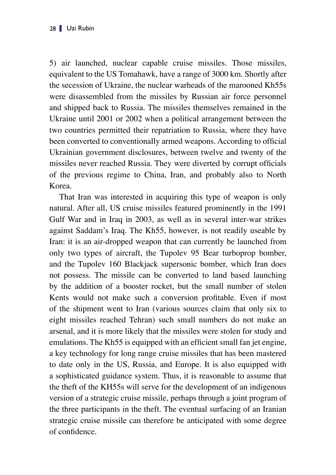5) air launched, nuclear capable cruise missiles. Those missiles, equivalent to the US Tomahawk, have a range of 3000 km. Shortly after the secession of Ukraine, the nuclear warheads of the marooned Kh55s were disassembled from the missiles by Russian air force personnel and shipped back to Russia. The missiles themselves remained in the Ukraine until 2001 or 2002 when a political arrangement between the two countries permitted their repatriation to Russia, where they have been converted to conventionally armed weapons. According to official Ukrainian government disclosures, between twelve and twenty of the missiles never reached Russia. They were diverted by corrupt officials of the previous regime to China, Iran, and probably also to North Korea.

That Iran was interested in acquiring this type of weapon is only natural. After all, US cruise missiles featured prominently in the 1991 Gulf War and in Iraq in 2003, as well as in several inter-war strikes against Saddam's Iraq. The Kh55, however, is not readily useable by Iran: it is an air-dropped weapon that can currently be launched from only two types of aircraft, the Tupolev 95 Bear turboprop bomber, and the Tupolev 160 Blackjack supersonic bomber, which Iran does not possess. The missile can be converted to land based launching by the addition of a booster rocket, but the small number of stolen Kents would not make such a conversion profitable. Even if most of the shipment went to Iran (various sources claim that only six to eight missiles reached Tehran) such small numbers do not make an arsenal, and it is more likely that the missiles were stolen for study and emulations. The Kh55 is equipped with an efficient small fan jet engine, a key technology for long range cruise missiles that has been mastered to date only in the US, Russia, and Europe. It is also equipped with a sophisticated guidance system. Thus, it is reasonable to assume that the theft of the KH55s will serve for the development of an indigenous version of a strategic cruise missile, perhaps through a joint program of the three participants in the theft. The eventual surfacing of an Iranian strategic cruise missile can therefore be anticipated with some degree of confidence.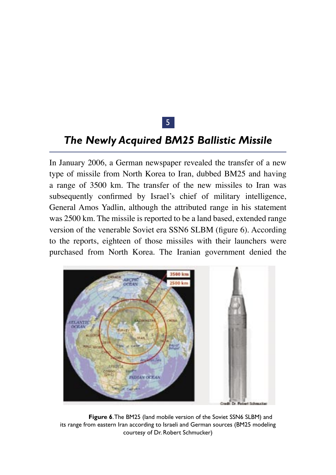### 5

### *The Newly Acquired BM25 Ballistic Missile*

In January 2006, a German newspaper revealed the transfer of a new type of missile from North Korea to Iran, dubbed BM25 and having a range of 3500 km. The transfer of the new missiles to Iran was subsequently confirmed by Israel's chief of military intelligence, General Amos Yadlin, although the attributed range in his statement was 2500 km. The missile is reported to be a land based, extended range version of the venerable Soviet era SSN6 SLBM (figure 6). According to the reports, eighteen of those missiles with their launchers were purchased from North Korea. The Iranian government denied the



**Figure 6**. The BM25 (land mobile version of the Soviet SSN6 SLBM) and its range from eastern Iran according to Israeli and German sources (BM25 modeling courtesy of Dr. Robert Schmucker)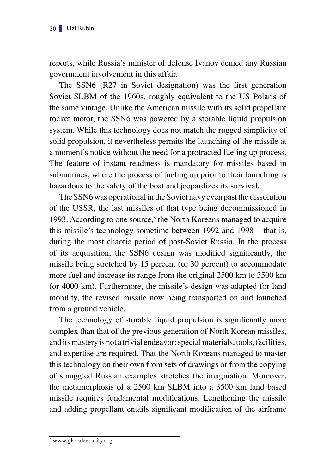reports, while Russia's minister of defense Ivanov denied any Russian government involvement in this affair.

The SSN6 (R27 in Soviet designation) was the first generation Soviet SLBM of the 1960s, roughly equivalent to the US Polaris of the same vintage. Unlike the American missile with its solid propellant rocket motor, the SSN6 was powered by a storable liquid propulsion system. While this technology does not match the rugged simplicity of solid propulsion, it nevertheless permits the launching of the missile at a moment's notice without the need for a protracted fueling up process. The feature of instant readiness is mandatory for missiles based in submarines, where the process of fueling up prior to their launching is hazardous to the safety of the boat and jeopardizes its survival.

The SSN6 was operational in the Soviet navy even past the dissolution of the USSR, the last missiles of that type being decommissioned in 1993. According to one source, $3$  the North Koreans managed to acquire this missile's technology sometime between 1992 and 1998 – that is, during the most chaotic period of post-Soviet Russia. In the process of its acquisition, the SSN6 design was modified significantly, the missile being stretched by 15 percent (or 30 percent) to accommodate more fuel and increase its range from the original 2500 km to 3500 km (or 4000 km). Furthermore, the missile's design was adapted for land mobility, the revised missile now being transported on and launched from a ground vehicle.

The technology of storable liquid propulsion is significantly more complex than that of the previous generation of North Korean missiles, and its mastery is not a trivial endeavor: special materials, tools, facilities, and expertise are required. That the North Koreans managed to master this technology on their own from sets of drawings or from the copying of smuggled Russian examples stretches the imagination. Moreover, the metamorphosis of a 2500 km SLBM into a 3500 km land based missile requires fundamental modifications. Lengthening the missile and adding propellant entails significant modification of the airframe

<sup>3</sup> www.globalsecurity.org.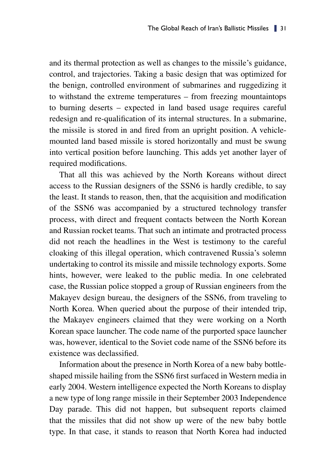and its thermal protection as well as changes to the missile's guidance, control, and trajectories. Taking a basic design that was optimized for the benign, controlled environment of submarines and ruggedizing it to withstand the extreme temperatures – from freezing mountaintops to burning deserts – expected in land based usage requires careful redesign and re-qualification of its internal structures. In a submarine, the missile is stored in and fired from an upright position. A vehiclemounted land based missile is stored horizontally and must be swung into vertical position before launching. This adds yet another layer of required modifications.

That all this was achieved by the North Koreans without direct access to the Russian designers of the SSN6 is hardly credible, to say the least. It stands to reason, then, that the acquisition and modification of the SSN6 was accompanied by a structured technology transfer process, with direct and frequent contacts between the North Korean and Russian rocket teams. That such an intimate and protracted process did not reach the headlines in the West is testimony to the careful cloaking of this illegal operation, which contravened Russia's solemn undertaking to control its missile and missile technology exports. Some hints, however, were leaked to the public media. In one celebrated case, the Russian police stopped a group of Russian engineers from the Makayev design bureau, the designers of the SSN6, from traveling to North Korea. When queried about the purpose of their intended trip, the Makayev engineers claimed that they were working on a North Korean space launcher. The code name of the purported space launcher was, however, identical to the Soviet code name of the SSN6 before its existence was declassified.

Information about the presence in North Korea of a new baby bottleshaped missile hailing from the SSN6 first surfaced in Western media in early 2004. Western intelligence expected the North Koreans to display a new type of long range missile in their September 2003 Independence Day parade. This did not happen, but subsequent reports claimed that the missiles that did not show up were of the new baby bottle type. In that case, it stands to reason that North Korea had inducted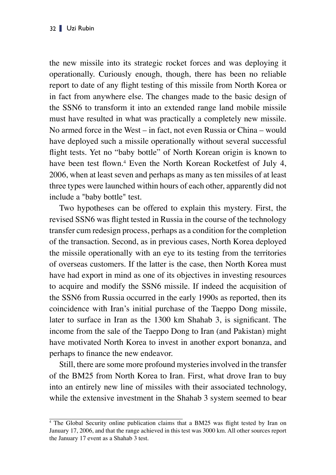the new missile into its strategic rocket forces and was deploying it operationally. Curiously enough, though, there has been no reliable report to date of any flight testing of this missile from North Korea or in fact from anywhere else. The changes made to the basic design of the SSN6 to transform it into an extended range land mobile missile must have resulted in what was practically a completely new missile. No armed force in the West – in fact, not even Russia or China – would have deployed such a missile operationally without several successful flight tests. Yet no "baby bottle" of North Korean origin is known to have been test flown. <sup>4</sup> Even the North Korean Rocketfest of July 4, 2006, when at least seven and perhaps as many as ten missiles of at least three types were launched within hours of each other, apparently did not include a "baby bottle" test.

Two hypotheses can be offered to explain this mystery. First, the revised SSN6 was flight tested in Russia in the course of the technology transfer cum redesign process, perhaps as a condition for the completion of the transaction. Second, as in previous cases, North Korea deployed the missile operationally with an eye to its testing from the territories of overseas customers. If the latter is the case, then North Korea must have had export in mind as one of its objectives in investing resources to acquire and modify the SSN6 missile. If indeed the acquisition of the SSN6 from Russia occurred in the early 1990s as reported, then its coincidence with Iran's initial purchase of the Taeppo Dong missile, later to surface in Iran as the 1300 km Shahab 3, is significant. The income from the sale of the Taeppo Dong to Iran (and Pakistan) might have motivated North Korea to invest in another export bonanza, and perhaps to finance the new endeavor.

Still, there are some more profound mysteries involved in the transfer of the BM25 from North Korea to Iran. First, what drove Iran to buy into an entirely new line of missiles with their associated technology, while the extensive investment in the Shahab 3 system seemed to bear

<sup>4</sup> The Global Security online publication claims that a BM25 was flight tested by Iran on January 17, 2006, and that the range achieved in this test was 3000 km. All other sources report the January 17 event as a Shahab 3 test.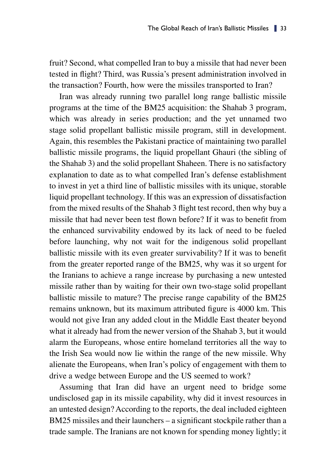fruit? Second, what compelled Iran to buy a missile that had never been tested in flight? Third, was Russia's present administration involved in the transaction? Fourth, how were the missiles transported to Iran?

Iran was already running two parallel long range ballistic missile programs at the time of the BM25 acquisition: the Shahab 3 program, which was already in series production; and the yet unnamed two stage solid propellant ballistic missile program, still in development. Again, this resembles the Pakistani practice of maintaining two parallel ballistic missile programs, the liquid propellant Ghauri (the sibling of the Shahab 3) and the solid propellant Shaheen. There is no satisfactory explanation to date as to what compelled Iran's defense establishment to invest in yet a third line of ballistic missiles with its unique, storable liquid propellant technology. If this was an expression of dissatisfaction from the mixed results of the Shahab 3 flight test record, then why buy a missile that had never been test flown before? If it was to benefit from the enhanced survivability endowed by its lack of need to be fueled before launching, why not wait for the indigenous solid propellant ballistic missile with its even greater survivability? If it was to benefit from the greater reported range of the BM25, why was it so urgent for the Iranians to achieve a range increase by purchasing a new untested missile rather than by waiting for their own two-stage solid propellant ballistic missile to mature? The precise range capability of the BM25 remains unknown, but its maximum attributed figure is 4000 km. This would not give Iran any added clout in the Middle East theater beyond what it already had from the newer version of the Shahab 3, but it would alarm the Europeans, whose entire homeland territories all the way to the Irish Sea would now lie within the range of the new missile. Why alienate the Europeans, when Iran's policy of engagement with them to drive a wedge between Europe and the US seemed to work?

Assuming that Iran did have an urgent need to bridge some undisclosed gap in its missile capability, why did it invest resources in an untested design? According to the reports, the deal included eighteen BM25 missiles and their launchers – a significant stockpile rather than a trade sample. The Iranians are not known for spending money lightly; it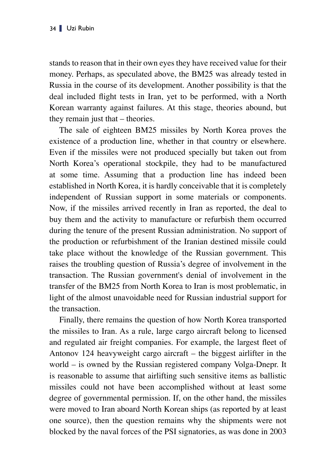stands to reason that in their own eyes they have received value for their money. Perhaps, as speculated above, the BM25 was already tested in Russia in the course of its development. Another possibility is that the deal included flight tests in Iran, yet to be performed, with a North Korean warranty against failures. At this stage, theories abound, but they remain just that – theories.

The sale of eighteen BM25 missiles by North Korea proves the existence of a production line, whether in that country or elsewhere. Even if the missiles were not produced specially but taken out from North Korea's operational stockpile, they had to be manufactured at some time. Assuming that a production line has indeed been established in North Korea, it is hardly conceivable that it is completely independent of Russian support in some materials or components. Now, if the missiles arrived recently in Iran as reported, the deal to buy them and the activity to manufacture or refurbish them occurred during the tenure of the present Russian administration. No support of the production or refurbishment of the Iranian destined missile could take place without the knowledge of the Russian government. This raises the troubling question of Russia's degree of involvement in the transaction. The Russian government's denial of involvement in the transfer of the BM25 from North Korea to Iran is most problematic, in light of the almost unavoidable need for Russian industrial support for the transaction.

Finally, there remains the question of how North Korea transported the missiles to Iran. As a rule, large cargo aircraft belong to licensed and regulated air freight companies. For example, the largest fleet of Antonov 124 heavyweight cargo aircraft – the biggest airlifter in the world – is owned by the Russian registered company Volga-Dnepr. It is reasonable to assume that airlifting such sensitive items as ballistic missiles could not have been accomplished without at least some degree of governmental permission. If, on the other hand, the missiles were moved to Iran aboard North Korean ships (as reported by at least one source), then the question remains why the shipments were not blocked by the naval forces of the PSI signatories, as was done in 2003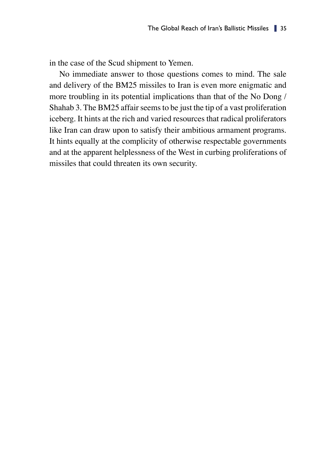in the case of the Scud shipment to Yemen.

No immediate answer to those questions comes to mind. The sale and delivery of the BM25 missiles to Iran is even more enigmatic and more troubling in its potential implications than that of the No Dong / Shahab 3. The BM25 affair seems to be just the tip of a vast proliferation iceberg. It hints at the rich and varied resources that radical proliferators like Iran can draw upon to satisfy their ambitious armament programs. It hints equally at the complicity of otherwise respectable governments and at the apparent helplessness of the West in curbing proliferations of missiles that could threaten its own security.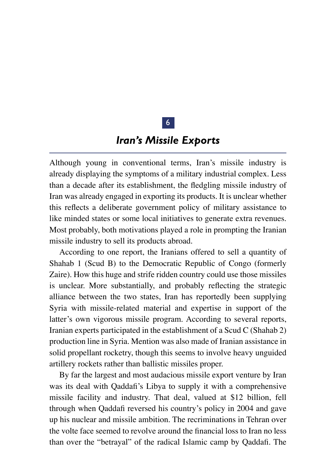### 6

### *Iran's Missile Exports*

Although young in conventional terms, Iran's missile industry is already displaying the symptoms of a military industrial complex. Less than a decade after its establishment, the fledgling missile industry of Iran was already engaged in exporting its products. It is unclear whether this reflects a deliberate government policy of military assistance to like minded states or some local initiatives to generate extra revenues. Most probably, both motivations played a role in prompting the Iranian missile industry to sell its products abroad.

According to one report, the Iranians offered to sell a quantity of Shahab 1 (Scud B) to the Democratic Republic of Congo (formerly Zaire). How this huge and strife ridden country could use those missiles is unclear. More substantially, and probably reflecting the strategic alliance between the two states, Iran has reportedly been supplying Syria with missile-related material and expertise in support of the latter's own vigorous missile program. According to several reports, Iranian experts participated in the establishment of a Scud C (Shahab 2) production line in Syria. Mention was also made of Iranian assistance in solid propellant rocketry, though this seems to involve heavy unguided artillery rockets rather than ballistic missiles proper.

By far the largest and most audacious missile export venture by Iran was its deal with Qaddafi's Libya to supply it with a comprehensive missile facility and industry. That deal, valued at \$12 billion, fell through when Qaddafi reversed his country's policy in 2004 and gave up his nuclear and missile ambition. The recriminations in Tehran over the volte face seemed to revolve around the financial loss to Iran no less than over the "betrayal" of the radical Islamic camp by Qaddafi. The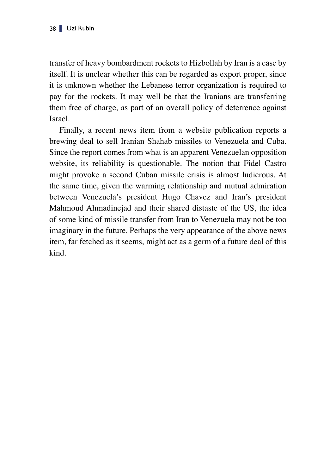transfer of heavy bombardment rockets to Hizbollah by Iran is a case by itself. It is unclear whether this can be regarded as export proper, since it is unknown whether the Lebanese terror organization is required to pay for the rockets. It may well be that the Iranians are transferring them free of charge, as part of an overall policy of deterrence against Israel.

Finally, a recent news item from a website publication reports a brewing deal to sell Iranian Shahab missiles to Venezuela and Cuba. Since the report comes from what is an apparent Venezuelan opposition website, its reliability is questionable. The notion that Fidel Castro might provoke a second Cuban missile crisis is almost ludicrous. At the same time, given the warming relationship and mutual admiration between Venezuela's president Hugo Chavez and Iran's president Mahmoud Ahmadinejad and their shared distaste of the US, the idea of some kind of missile transfer from Iran to Venezuela may not be too imaginary in the future. Perhaps the very appearance of the above news item, far fetched as it seems, might act as a germ of a future deal of this kind.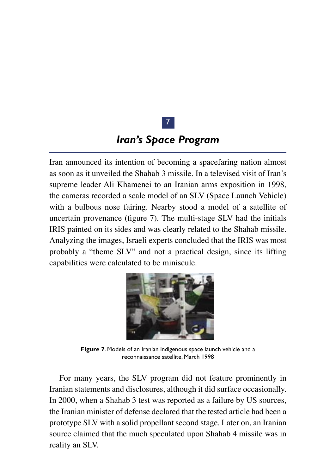## 7

### *Iran's Space Program*

Iran announced its intention of becoming a spacefaring nation almost as soon as it unveiled the Shahab 3 missile. In a televised visit of Iran's supreme leader Ali Khamenei to an Iranian arms exposition in 1998, the cameras recorded a scale model of an SLV (Space Launch Vehicle) with a bulbous nose fairing. Nearby stood a model of a satellite of uncertain provenance (figure 7). The multi-stage SLV had the initials IRIS painted on its sides and was clearly related to the Shahab missile. Analyzing the images, Israeli experts concluded that the IRIS was most probably a "theme SLV" and not a practical design, since its lifting capabilities were calculated to be miniscule.



**Figure 7**. Models of an Iranian indigenous space launch vehicle and a reconnaissance satellite, March 1998

For many years, the SLV program did not feature prominently in Iranian statements and disclosures, although it did surface occasionally. In 2000, when a Shahab 3 test was reported as a failure by US sources, the Iranian minister of defense declared that the tested article had been a prototype SLV with a solid propellant second stage. Later on, an Iranian source claimed that the much speculated upon Shahab 4 missile was in reality an SLV.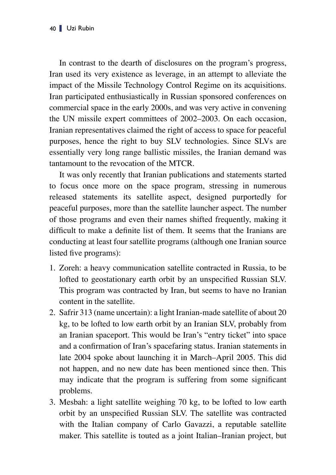In contrast to the dearth of disclosures on the program's progress, Iran used its very existence as leverage, in an attempt to alleviate the impact of the Missile Technology Control Regime on its acquisitions. Iran participated enthusiastically in Russian sponsored conferences on commercial space in the early 2000s, and was very active in convening the UN missile expert committees of 2002–2003. On each occasion, Iranian representatives claimed the right of access to space for peaceful purposes, hence the right to buy SLV technologies. Since SLVs are essentially very long range ballistic missiles, the Iranian demand was tantamount to the revocation of the MTCR.

It was only recently that Iranian publications and statements started to focus once more on the space program, stressing in numerous released statements its satellite aspect, designed purportedly for peaceful purposes, more than the satellite launcher aspect. The number of those programs and even their names shifted frequently, making it difficult to make a definite list of them. It seems that the Iranians are conducting at least four satellite programs (although one Iranian source listed five programs):

- 1. Zoreh: a heavy communication satellite contracted in Russia, to be lofted to geostationary earth orbit by an unspecified Russian SLV. This program was contracted by Iran, but seems to have no Iranian content in the satellite.
- 2. Safrir 313 (name uncertain): a light Iranian-made satellite of about 20 kg, to be lofted to low earth orbit by an Iranian SLV, probably from an Iranian spaceport. This would be Iran's "entry ticket" into space and a confirmation of Iran's spacefaring status. Iranian statements in late 2004 spoke about launching it in March–April 2005. This did not happen, and no new date has been mentioned since then. This may indicate that the program is suffering from some significant problems.
- 3. Mesbah: a light satellite weighing 70 kg, to be lofted to low earth orbit by an unspecified Russian SLV. The satellite was contracted with the Italian company of Carlo Gavazzi, a reputable satellite maker. This satellite is touted as a joint Italian–Iranian project, but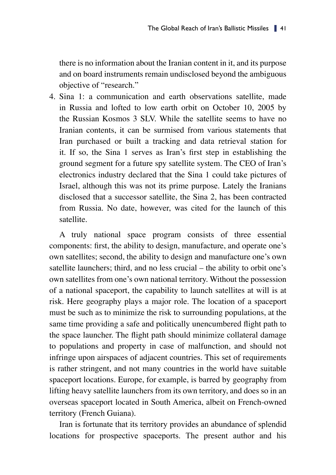there is no information about the Iranian content in it, and its purpose and on board instruments remain undisclosed beyond the ambiguous objective of "research."

4. Sina 1: a communication and earth observations satellite, made in Russia and lofted to low earth orbit on October 10, 2005 by the Russian Kosmos 3 SLV. While the satellite seems to have no Iranian contents, it can be surmised from various statements that Iran purchased or built a tracking and data retrieval station for it. If so, the Sina 1 serves as Iran's first step in establishing the ground segment for a future spy satellite system. The CEO of Iran's electronics industry declared that the Sina 1 could take pictures of Israel, although this was not its prime purpose. Lately the Iranians disclosed that a successor satellite, the Sina 2, has been contracted from Russia. No date, however, was cited for the launch of this satellite.

A truly national space program consists of three essential components: first, the ability to design, manufacture, and operate one's own satellites; second, the ability to design and manufacture one's own satellite launchers; third, and no less crucial – the ability to orbit one's own satellites from one's own national territory. Without the possession of a national spaceport, the capability to launch satellites at will is at risk. Here geography plays a major role. The location of a spaceport must be such as to minimize the risk to surrounding populations, at the same time providing a safe and politically unencumbered flight path to the space launcher. The flight path should minimize collateral damage to populations and property in case of malfunction, and should not infringe upon airspaces of adjacent countries. This set of requirements is rather stringent, and not many countries in the world have suitable spaceport locations. Europe, for example, is barred by geography from lifting heavy satellite launchers from its own territory, and does so in an overseas spaceport located in South America, albeit on French-owned territory (French Guiana).

Iran is fortunate that its territory provides an abundance of splendid locations for prospective spaceports. The present author and his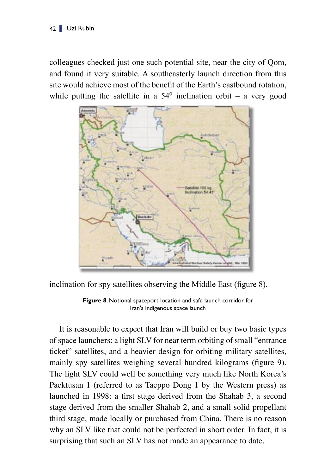colleagues checked just one such potential site, near the city of Qom, and found it very suitable. A southeasterly launch direction from this site would achieve most of the benefit of the Earth's eastbound rotation, while putting the satellite in a  $54^{\circ}$  inclination orbit – a very good



inclination for spy satellites observing the Middle East (figure 8).

**Figure 8**. Notional spaceport location and safe launch corridor for Iran's indigenous space launch

It is reasonable to expect that Iran will build or buy two basic types of space launchers: a light SLV for near term orbiting of small "entrance ticket" satellites, and a heavier design for orbiting military satellites, mainly spy satellites weighing several hundred kilograms (figure 9). The light SLV could well be something very much like North Korea's Paektusan 1 (referred to as Taeppo Dong 1 by the Western press) as launched in 1998: a first stage derived from the Shahab 3, a second stage derived from the smaller Shahab 2, and a small solid propellant third stage, made locally or purchased from China. There is no reason why an SLV like that could not be perfected in short order. In fact, it is surprising that such an SLV has not made an appearance to date.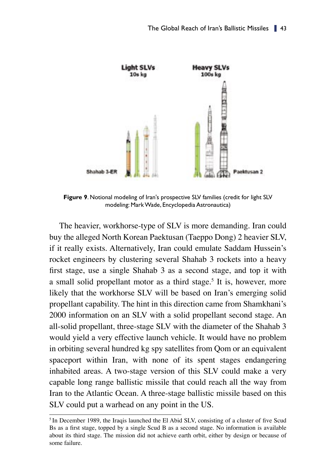

**Figure 9**. Notional modeling of Iran's prospective SLV families (credit for light SLV modeling: Mark Wade, Encyclopedia Astronautica)

The heavier, workhorse-type of SLV is more demanding. Iran could buy the alleged North Korean Paektusan (Taeppo Dong) 2 heavier SLV, if it really exists. Alternatively, Iran could emulate Saddam Hussein's rocket engineers by clustering several Shahab 3 rockets into a heavy first stage, use a single Shahab 3 as a second stage, and top it with a small solid propellant motor as a third stage. 5 It is, however, more likely that the workhorse SLV will be based on Iran's emerging solid propellant capability. The hint in this direction came from Shamkhani's 2000 information on an SLV with a solid propellant second stage. An all-solid propellant, three-stage SLV with the diameter of the Shahab 3 would yield a very effective launch vehicle. It would have no problem in orbiting several hundred kg spy satellites from Qom or an equivalent spaceport within Iran, with none of its spent stages endangering inhabited areas. A two-stage version of this SLV could make a very capable long range ballistic missile that could reach all the way from Iran to the Atlantic Ocean. A three-stage ballistic missile based on this SLV could put a warhead on any point in the US.

<sup>&</sup>lt;sup>5</sup> In December 1989, the Iraqis launched the El Abid SLV, consisting of a cluster of five Scud Bs as a first stage, topped by a single Scud B as a second stage. No information is available about its third stage. The mission did not achieve earth orbit, either by design or because of some failure.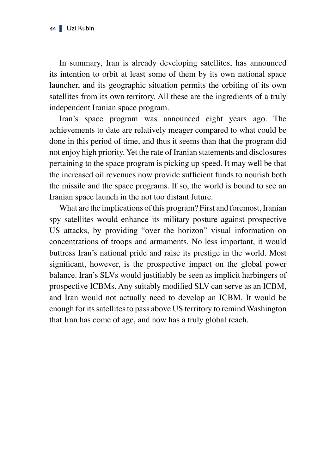In summary, Iran is already developing satellites, has announced its intention to orbit at least some of them by its own national space launcher, and its geographic situation permits the orbiting of its own satellites from its own territory. All these are the ingredients of a truly independent Iranian space program.

Iran's space program was announced eight years ago. The achievements to date are relatively meager compared to what could be done in this period of time, and thus it seems than that the program did not enjoy high priority. Yet the rate of Iranian statements and disclosures pertaining to the space program is picking up speed. It may well be that the increased oil revenues now provide sufficient funds to nourish both the missile and the space programs. If so, the world is bound to see an Iranian space launch in the not too distant future.

What are the implications of this program? First and foremost, Iranian spy satellites would enhance its military posture against prospective US attacks, by providing "over the horizon" visual information on concentrations of troops and armaments. No less important, it would buttress Iran's national pride and raise its prestige in the world. Most significant, however, is the prospective impact on the global power balance. Iran's SLVs would justifiably be seen as implicit harbingers of prospective ICBMs. Any suitably modified SLV can serve as an ICBM, and Iran would not actually need to develop an ICBM. It would be enough for its satellites to pass above US territory to remind Washington that Iran has come of age, and now has a truly global reach.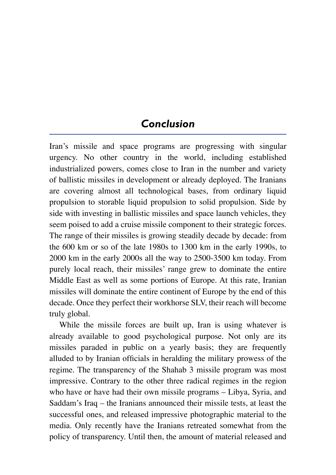## *Conclusion*

Iran's missile and space programs are progressing with singular urgency. No other country in the world, including established industrialized powers, comes close to Iran in the number and variety of ballistic missiles in development or already deployed. The Iranians are covering almost all technological bases, from ordinary liquid propulsion to storable liquid propulsion to solid propulsion. Side by side with investing in ballistic missiles and space launch vehicles, they seem poised to add a cruise missile component to their strategic forces. The range of their missiles is growing steadily decade by decade: from the 600 km or so of the late 1980s to 1300 km in the early 1990s, to 2000 km in the early 2000s all the way to 2500-3500 km today. From purely local reach, their missiles' range grew to dominate the entire Middle East as well as some portions of Europe. At this rate, Iranian missiles will dominate the entire continent of Europe by the end of this decade. Once they perfect their workhorse SLV, their reach will become truly global.

While the missile forces are built up, Iran is using whatever is already available to good psychological purpose. Not only are its missiles paraded in public on a yearly basis; they are frequently alluded to by Iranian officials in heralding the military prowess of the regime. The transparency of the Shahab 3 missile program was most impressive. Contrary to the other three radical regimes in the region who have or have had their own missile programs – Libya, Syria, and Saddam's Iraq – the Iranians announced their missile tests, at least the successful ones, and released impressive photographic material to the media. Only recently have the Iranians retreated somewhat from the policy of transparency. Until then, the amount of material released and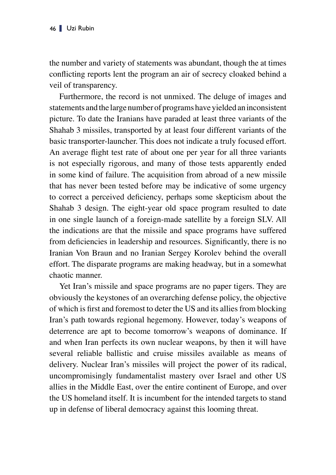the number and variety of statements was abundant, though the at times conflicting reports lent the program an air of secrecy cloaked behind a veil of transparency.

Furthermore, the record is not unmixed. The deluge of images and statements and the large number of programs have yielded an inconsistent picture. To date the Iranians have paraded at least three variants of the Shahab 3 missiles, transported by at least four different variants of the basic transporter-launcher. This does not indicate a truly focused effort. An average flight test rate of about one per year for all three variants is not especially rigorous, and many of those tests apparently ended in some kind of failure. The acquisition from abroad of a new missile that has never been tested before may be indicative of some urgency to correct a perceived deficiency, perhaps some skepticism about the Shahab 3 design. The eight-year old space program resulted to date in one single launch of a foreign-made satellite by a foreign SLV. All the indications are that the missile and space programs have suffered from deficiencies in leadership and resources. Significantly, there is no Iranian Von Braun and no Iranian Sergey Korolev behind the overall effort. The disparate programs are making headway, but in a somewhat chaotic manner.

Yet Iran's missile and space programs are no paper tigers. They are obviously the keystones of an overarching defense policy, the objective of which is first and foremost to deter the US and its allies from blocking Iran's path towards regional hegemony. However, today's weapons of deterrence are apt to become tomorrow's weapons of dominance. If and when Iran perfects its own nuclear weapons, by then it will have several reliable ballistic and cruise missiles available as means of delivery. Nuclear Iran's missiles will project the power of its radical, uncompromisingly fundamentalist mastery over Israel and other US allies in the Middle East, over the entire continent of Europe, and over the US homeland itself. It is incumbent for the intended targets to stand up in defense of liberal democracy against this looming threat.